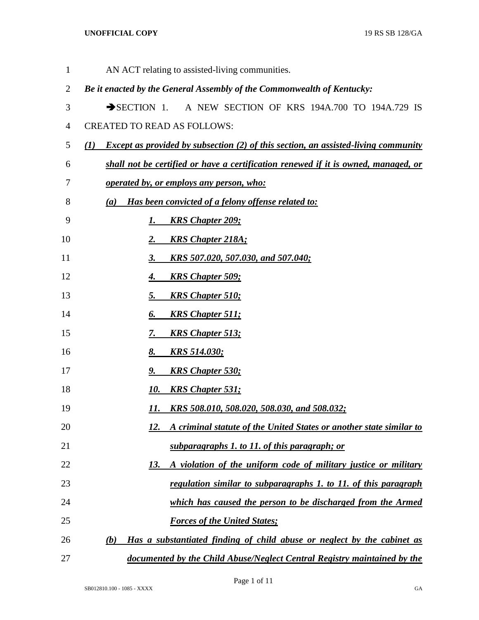| $\mathbf{1}$   | AN ACT relating to assisted-living communities.                                                  |
|----------------|--------------------------------------------------------------------------------------------------|
| $\overline{2}$ | Be it enacted by the General Assembly of the Commonwealth of Kentucky:                           |
| 3              | A NEW SECTION OF KRS 194A.700 TO 194A.729 IS<br>$\rightarrow$ SECTION 1.                         |
| $\overline{4}$ | <b>CREATED TO READ AS FOLLOWS:</b>                                                               |
| 5              | <b>Except as provided by subsection (2) of this section, an assisted-living community</b><br>(I) |
| 6              | shall not be certified or have a certification renewed if it is owned, managed, or               |
| 7              | <u>operated by, or employs any person, who:</u>                                                  |
| 8              | Has been convicted of a felony offense related to:<br>(a)                                        |
| 9              | <b>KRS Chapter 209;</b><br>1.                                                                    |
| 10             | <b>KRS Chapter 218A;</b><br><u>2.</u>                                                            |
| 11             | KRS 507.020, 507.030, and 507.040;<br><u>3.</u>                                                  |
| 12             | <b>KRS Chapter 509;</b><br><u>4.</u>                                                             |
| 13             | 5.<br><b>KRS Chapter 510;</b>                                                                    |
| 14             | <b>KRS Chapter 511;</b><br>6.                                                                    |
| 15             | <b>KRS Chapter 513;</b><br><u>7.</u>                                                             |
| 16             | <u>8.</u><br><u>KRS 514.030;</u>                                                                 |
| 17             | <b>KRS Chapter 530;</b><br><u>9.</u>                                                             |
| 18             | 10.<br><b>KRS Chapter 531;</b>                                                                   |
| 19             | KRS 508.010, 508.020, 508.030, and 508.032;<br>11.                                               |
| 20             | A criminal statute of the United States or another state similar to<br>12.                       |
| 21             | subparagraphs 1. to 11. of this paragraph; or                                                    |
| 22             | 13.<br>A violation of the uniform code of military justice or military                           |
| 23             | regulation similar to subparagraphs 1. to 11. of this paragraph                                  |
| 24             | which has caused the person to be discharged from the Armed                                      |
| 25             | <b>Forces of the United States;</b>                                                              |
| 26             | Has a substantiated finding of child abuse or neglect by the cabinet as<br>(b)                   |
| 27             | documented by the Child Abuse/Neglect Central Registry maintained by the                         |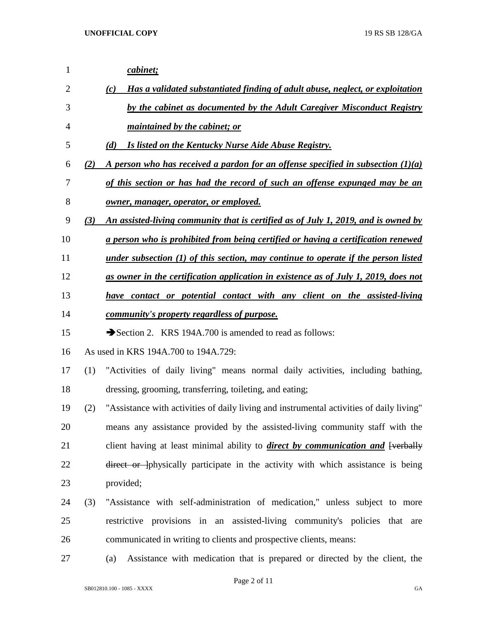| 1              |     | cabinet;                                                                                  |
|----------------|-----|-------------------------------------------------------------------------------------------|
| $\overline{2}$ |     | Has a validated substantiated finding of adult abuse, neglect, or exploitation<br>(c)     |
| 3              |     | by the cabinet as documented by the Adult Caregiver Misconduct Registry                   |
| 4              |     | <i>maintained by the cabinet; or</i>                                                      |
| 5              |     | <b>Is listed on the Kentucky Nurse Aide Abuse Registry.</b><br>(d)                        |
| 6              | (2) | A person who has received a pardon for an offense specified in subsection $(1)(a)$        |
| 7              |     | of this section or has had the record of such an offense expunged may be an               |
| 8              |     | <u>owner, manager, operator, or employed.</u>                                             |
| 9              | (3) | An assisted-living community that is certified as of July 1, 2019, and is owned by        |
| 10             |     | a person who is prohibited from being certified or having a certification renewed         |
| 11             |     | <u>under subsection (1) of this section, may continue to operate if the person listed</u> |
| 12             |     | as owner in the certification application in existence as of July 1, 2019, does not       |
| 13             |     | have contact or potential contact with any client on the assisted-living                  |
| 14             |     | community's property regardless of purpose.                                               |
| 15             |     | Section 2. KRS 194A.700 is amended to read as follows:                                    |
| 16             |     | As used in KRS 194A.700 to 194A.729:                                                      |
| 17             | (1) | "Activities of daily living" means normal daily activities, including bathing,            |
| 18             |     | dressing, grooming, transferring, toileting, and eating;                                  |
| 19             | (2) | "Assistance with activities of daily living and instrumental activities of daily living"  |
| 20             |     | means any assistance provided by the assisted-living community staff with the             |
| 21             |     | client having at least minimal ability to <i>direct by communication and</i> [verbally    |
| 22             |     | direct or physically participate in the activity with which assistance is being           |
| 23             |     | provided;                                                                                 |
| 24             | (3) | "Assistance with self-administration of medication," unless subject to more               |
| 25             |     | restrictive provisions in an assisted-living community's policies that are                |
| 26             |     | communicated in writing to clients and prospective clients, means:                        |
| 27             |     | Assistance with medication that is prepared or directed by the client, the<br>(a)         |

Page 2 of 11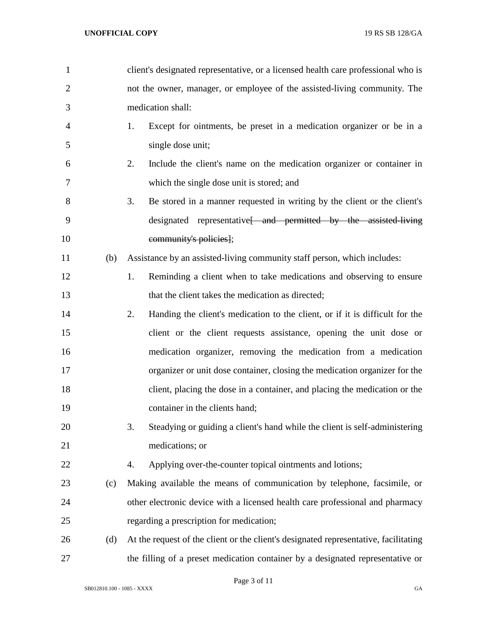| $\mathbf{1}$   |     | client's designated representative, or a licensed health care professional who is    |
|----------------|-----|--------------------------------------------------------------------------------------|
| $\overline{2}$ |     | not the owner, manager, or employee of the assisted-living community. The            |
| 3              |     | medication shall:                                                                    |
| 4              |     | Except for ointments, be preset in a medication organizer or be in a<br>1.           |
| 5              |     | single dose unit;                                                                    |
| 6              |     | 2.<br>Include the client's name on the medication organizer or container in          |
| 7              |     | which the single dose unit is stored; and                                            |
| 8              |     | 3.<br>Be stored in a manner requested in writing by the client or the client's       |
| 9              |     | designated representative and permitted by the assisted living                       |
| 10             |     | community's policies];                                                               |
| 11             | (b) | Assistance by an assisted-living community staff person, which includes:             |
| 12             |     | Reminding a client when to take medications and observing to ensure<br>1.            |
| 13             |     | that the client takes the medication as directed;                                    |
| 14             |     | 2.<br>Handing the client's medication to the client, or if it is difficult for the   |
| 15             |     | client or the client requests assistance, opening the unit dose or                   |
| 16             |     | medication organizer, removing the medication from a medication                      |
| 17             |     | organizer or unit dose container, closing the medication organizer for the           |
| 18             |     | client, placing the dose in a container, and placing the medication or the           |
| 19             |     | container in the clients hand;                                                       |
| 20             |     | 3.<br>Steadying or guiding a client's hand while the client is self-administering    |
| 21             |     | medications; or                                                                      |
| 22             |     | Applying over-the-counter topical ointments and lotions;<br>4.                       |
| 23             | (c) | Making available the means of communication by telephone, facsimile, or              |
| 24             |     | other electronic device with a licensed health care professional and pharmacy        |
| 25             |     | regarding a prescription for medication;                                             |
| 26             | (d) | At the request of the client or the client's designated representative, facilitating |
| 27             |     | the filling of a preset medication container by a designated representative or       |

Page 3 of 11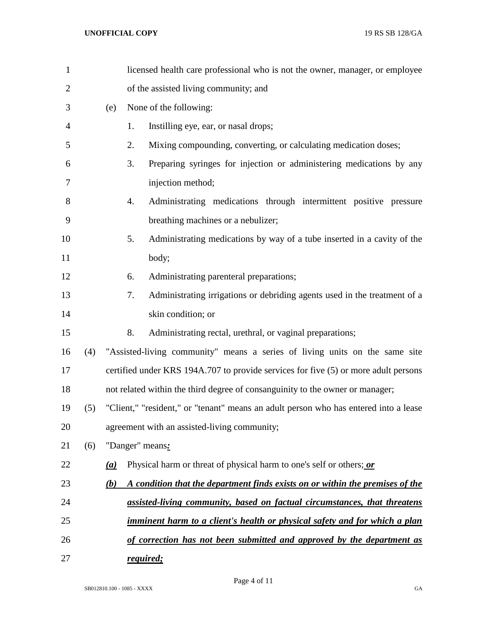| $\mathbf{1}$   |     |                   |    | licensed health care professional who is not the owner, manager, or employee         |
|----------------|-----|-------------------|----|--------------------------------------------------------------------------------------|
| $\overline{2}$ |     |                   |    | of the assisted living community; and                                                |
| 3              |     | (e)               |    | None of the following:                                                               |
| $\overline{4}$ |     |                   | 1. | Instilling eye, ear, or nasal drops;                                                 |
| 5              |     |                   | 2. | Mixing compounding, converting, or calculating medication doses;                     |
| 6              |     |                   | 3. | Preparing syringes for injection or administering medications by any                 |
| 7              |     |                   |    | injection method;                                                                    |
| 8              |     |                   | 4. | Administrating medications through intermittent positive pressure                    |
| 9              |     |                   |    | breathing machines or a nebulizer;                                                   |
| 10             |     |                   | 5. | Administrating medications by way of a tube inserted in a cavity of the              |
| 11             |     |                   |    | body;                                                                                |
| 12             |     |                   | 6. | Administrating parenteral preparations;                                              |
| 13             |     |                   | 7. | Administrating irrigations or debriding agents used in the treatment of a            |
| 14             |     |                   |    | skin condition; or                                                                   |
| 15             |     |                   | 8. | Administrating rectal, urethral, or vaginal preparations;                            |
| 16             | (4) |                   |    | "Assisted-living community" means a series of living units on the same site          |
| 17             |     |                   |    | certified under KRS 194A.707 to provide services for five (5) or more adult persons  |
| 18             |     |                   |    | not related within the third degree of consanguinity to the owner or manager;        |
| 19             | (5) |                   |    | "Client," "resident," or "tenant" means an adult person who has entered into a lease |
| 20             |     |                   |    | agreement with an assisted-living community;                                         |
| 21             | (6) |                   |    | "Danger" means:                                                                      |
| 22             |     | $\underline{(a)}$ |    | Physical harm or threat of physical harm to one's self or others; or                 |
| 23             |     | (b)               |    | A condition that the department finds exists on or within the premises of the        |
| 24             |     |                   |    | assisted-living community, based on factual circumstances, that threatens            |
| 25             |     |                   |    | <u>imminent harm to a client's health or physical safety and for which a plan</u>    |
| 26             |     |                   |    | of correction has not been submitted and approved by the department as               |
| 27             |     |                   |    | required;                                                                            |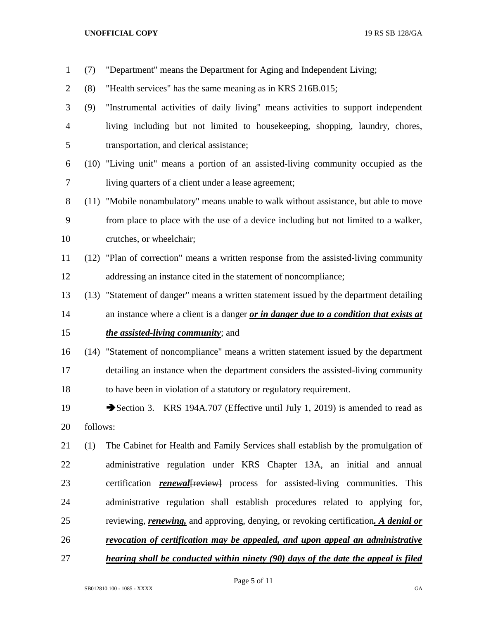(7) "Department" means the Department for Aging and Independent Living; (8) "Health services" has the same meaning as in KRS 216B.015; (9) "Instrumental activities of daily living" means activities to support independent living including but not limited to housekeeping, shopping, laundry, chores, transportation, and clerical assistance; (10) "Living unit" means a portion of an assisted-living community occupied as the living quarters of a client under a lease agreement; (11) "Mobile nonambulatory" means unable to walk without assistance, but able to move from place to place with the use of a device including but not limited to a walker, crutches, or wheelchair; (12) "Plan of correction" means a written response from the assisted-living community addressing an instance cited in the statement of noncompliance; (13) "Statement of danger" means a written statement issued by the department detailing an instance where a client is a danger *or in danger due to a condition that exists at the assisted-living community*; and (14) "Statement of noncompliance" means a written statement issued by the department detailing an instance when the department considers the assisted-living community to have been in violation of a statutory or regulatory requirement. 19 Section 3. KRS 194A.707 (Effective until July 1, 2019) is amended to read as follows: (1) The Cabinet for Health and Family Services shall establish by the promulgation of administrative regulation under KRS Chapter 13A, an initial and annual certification *renewal*[review] process for assisted-living communities. This administrative regulation shall establish procedures related to applying for, reviewing, *renewing,* and approving, denying, or revoking certification*. A denial or revocation of certification may be appealed, and upon appeal an administrative hearing shall be conducted within ninety (90) days of the date the appeal is filed* 

Page 5 of 11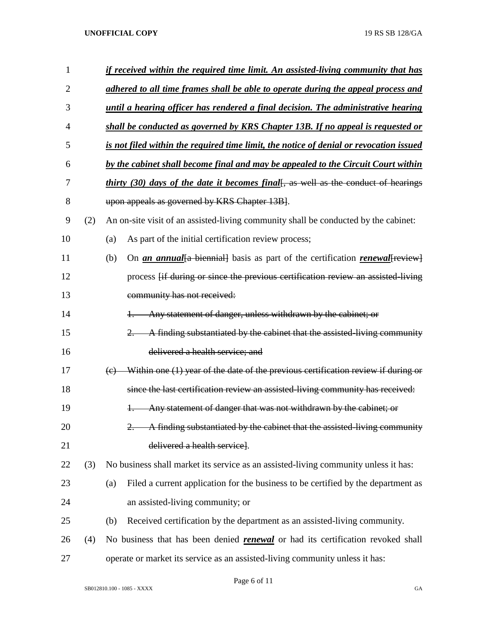| 1              |     | if received within the required time limit. An assisted-living community that has                              |  |  |  |  |  |
|----------------|-----|----------------------------------------------------------------------------------------------------------------|--|--|--|--|--|
| $\overline{2}$ |     | adhered to all time frames shall be able to operate during the appeal process and                              |  |  |  |  |  |
| 3              |     | until a hearing officer has rendered a final decision. The administrative hearing                              |  |  |  |  |  |
| 4              |     | shall be conducted as governed by KRS Chapter 13B. If no appeal is requested or                                |  |  |  |  |  |
| 5              |     | is not filed within the required time limit, the notice of denial or revocation issued                         |  |  |  |  |  |
| 6              |     | by the cabinet shall become final and may be appealed to the Circuit Court within                              |  |  |  |  |  |
| 7              |     | thirty (30) days of the date it becomes final[, as well as the conduct of hearings                             |  |  |  |  |  |
| 8              |     | upon appeals as governed by KRS Chapter 13B.                                                                   |  |  |  |  |  |
| 9              | (2) | An on-site visit of an assisted-living community shall be conducted by the cabinet:                            |  |  |  |  |  |
| 10             |     | As part of the initial certification review process;<br>(a)                                                    |  |  |  |  |  |
| 11             |     | On <i>an annual</i> {a biennial} basis as part of the certification <i>renewal</i> [ <i>review</i> ]<br>(b)    |  |  |  |  |  |
| 12             |     | process [if during or since the previous certification review an assisted living                               |  |  |  |  |  |
| 13             |     | community has not received:                                                                                    |  |  |  |  |  |
| 14             |     | Any statement of danger, unless withdrawn by the cabinet; or                                                   |  |  |  |  |  |
| 15             |     | A finding substantiated by the cabinet that the assisted-living community                                      |  |  |  |  |  |
| 16             |     | delivered a health service; and                                                                                |  |  |  |  |  |
| 17             |     | Within one (1) year of the date of the previous certification review if during or<br>$\left(\mathrm{e}\right)$ |  |  |  |  |  |
| 18             |     | since the last certification review an assisted-living community has received:                                 |  |  |  |  |  |
| 19             |     | Any statement of danger that was not withdrawn by the cabinet; or                                              |  |  |  |  |  |
| 20             |     | A finding substantiated by the cabinet that the assisted-living community                                      |  |  |  |  |  |
| 21             |     | delivered a health service].                                                                                   |  |  |  |  |  |
| 22             | (3) | No business shall market its service as an assisted-living community unless it has:                            |  |  |  |  |  |
| 23             |     | Filed a current application for the business to be certified by the department as<br>(a)                       |  |  |  |  |  |
| 24             |     | an assisted-living community; or                                                                               |  |  |  |  |  |
| 25             |     | Received certification by the department as an assisted-living community.<br>(b)                               |  |  |  |  |  |
| 26             | (4) | No business that has been denied <b>renewal</b> or had its certification revoked shall                         |  |  |  |  |  |
| 27             |     | operate or market its service as an assisted-living community unless it has:                                   |  |  |  |  |  |

Page 6 of 11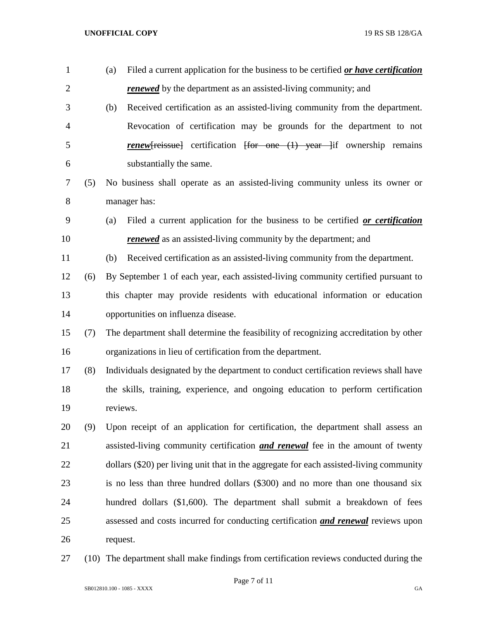| $\mathbf{1}$   |     | Filed a current application for the business to be certified or have certification<br>(a) |
|----------------|-----|-------------------------------------------------------------------------------------------|
| $\overline{2}$ |     | <b>renewed</b> by the department as an assisted-living community; and                     |
| 3              |     | (b)<br>Received certification as an assisted-living community from the department.        |
| 4              |     | Revocation of certification may be grounds for the department to not                      |
| 5              |     | <b>renew</b> [reissue] certification [for one (1) year if ownership remains               |
| 6              |     | substantially the same.                                                                   |
| 7              | (5) | No business shall operate as an assisted-living community unless its owner or             |
| 8              |     | manager has:                                                                              |
| 9              |     | Filed a current application for the business to be certified or certification<br>(a)      |
| 10             |     | <b>renewed</b> as an assisted-living community by the department; and                     |
| 11             |     | Received certification as an assisted-living community from the department.<br>(b)        |
| 12             | (6) | By September 1 of each year, each assisted-living community certified pursuant to         |
| 13             |     | this chapter may provide residents with educational information or education              |
| 14             |     | opportunities on influenza disease.                                                       |
| 15             | (7) | The department shall determine the feasibility of recognizing accreditation by other      |
| 16             |     | organizations in lieu of certification from the department.                               |
| 17             | (8) | Individuals designated by the department to conduct certification reviews shall have      |
| 18             |     | the skills, training, experience, and ongoing education to perform certification          |
| 19             |     | reviews.                                                                                  |
| 20             | (9) | Upon receipt of an application for certification, the department shall assess an          |
| 21             |     | assisted-living community certification <b>and renewal</b> fee in the amount of twenty    |
| 22             |     | dollars (\$20) per living unit that in the aggregate for each assisted-living community   |
| 23             |     | is no less than three hundred dollars (\$300) and no more than one thousand six           |
| 24             |     | hundred dollars (\$1,600). The department shall submit a breakdown of fees                |
| 25             |     | assessed and costs incurred for conducting certification <b>and renewal</b> reviews upon  |
| 26             |     | request.                                                                                  |
|                |     |                                                                                           |

(10) The department shall make findings from certification reviews conducted during the

Page 7 of 11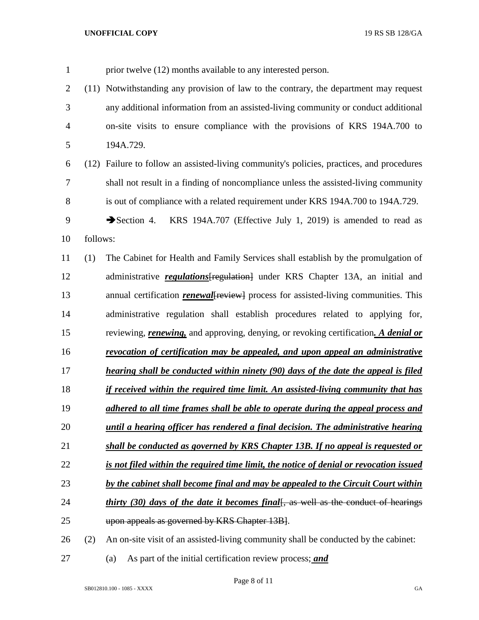| $\mathbf{1}$   |          | prior twelve (12) months available to any interested person.                                        |
|----------------|----------|-----------------------------------------------------------------------------------------------------|
| $\overline{2}$ |          | (11) Notwithstanding any provision of law to the contrary, the department may request               |
| 3              |          | any additional information from an assisted-living community or conduct additional                  |
| $\overline{4}$ |          | on-site visits to ensure compliance with the provisions of KRS 194A.700 to                          |
| 5              |          | 194A.729.                                                                                           |
| 6              |          | (12) Failure to follow an assisted-living community's policies, practices, and procedures           |
| 7              |          | shall not result in a finding of noncompliance unless the assisted-living community                 |
| 8              |          | is out of compliance with a related requirement under KRS 194A.700 to 194A.729.                     |
| 9              |          | KRS 194A.707 (Effective July 1, 2019) is amended to read as<br>$\blacktriangleright$ Section 4.     |
| 10             | follows: |                                                                                                     |
| 11             | (1)      | The Cabinet for Health and Family Services shall establish by the promulgation of                   |
| 12             |          | administrative regulations [regulation] under KRS Chapter 13A, an initial and                       |
| 13             |          | annual certification <i>renewal</i> [ <i>review</i> ] process for assisted-living communities. This |
| 14             |          | administrative regulation shall establish procedures related to applying for,                       |
| 15             |          | reviewing, <i>renewing</i> , and approving, denying, or revoking certification. A <i>denial or</i>  |
| 16             |          | revocation of certification may be appealed, and upon appeal an administrative                      |
| 17             |          | hearing shall be conducted within ninety (90) days of the date the appeal is filed                  |
| 18             |          | if received within the required time limit. An assisted-living community that has                   |
| 19             |          | adhered to all time frames shall be able to operate during the appeal process and                   |
| 20             |          | until a hearing officer has rendered a final decision. The administrative hearing                   |
| 21             |          | shall be conducted as governed by KRS Chapter 13B. If no appeal is requested or                     |
| 22             |          | is not filed within the required time limit, the notice of denial or revocation issued              |
| 23             |          | by the cabinet shall become final and may be appealed to the Circuit Court within                   |
| 24             |          | <i>thirty (30) days of the date it becomes final</i> , as well as the conduct of hearings           |
| 25             |          | upon appeals as governed by KRS Chapter 13B].                                                       |
| 26             | (2)      | An on-site visit of an assisted-living community shall be conducted by the cabinet:                 |
|                |          |                                                                                                     |

Page 8 of 11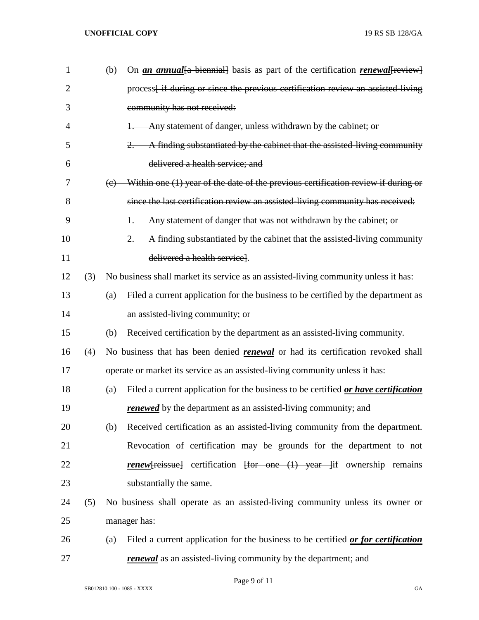| $\mathbf{1}$   |     | (b) | On an annual {a biennial} basis as part of the certification renewal review}                                  |
|----------------|-----|-----|---------------------------------------------------------------------------------------------------------------|
| $\overline{2}$ |     |     | process <sub>[if during or since the previous certification review an assisted living</sub>                   |
| 3              |     |     | community has not received:                                                                                   |
| 4              |     |     | Any statement of danger, unless withdrawn by the cabinet; or                                                  |
| 5              |     |     | A finding substantiated by the cabinet that the assisted-living community<br>$2 -$                            |
| 6              |     |     | delivered a health service; and                                                                               |
| 7              |     | (e) | Within one (1) year of the date of the previous certification review if during or                             |
| 8              |     |     | since the last certification review an assisted-living community has received:                                |
| 9              |     |     | Any statement of danger that was not withdrawn by the cabinet; or<br>$+$                                      |
| 10             |     |     | A finding substantiated by the cabinet that the assisted-living community<br>$2 -$                            |
| 11             |     |     | delivered a health servicel.                                                                                  |
| 12             | (3) |     | No business shall market its service as an assisted-living community unless it has:                           |
| 13             |     | (a) | Filed a current application for the business to be certified by the department as                             |
| 14             |     |     | an assisted-living community; or                                                                              |
| 15             |     | (b) | Received certification by the department as an assisted-living community.                                     |
| 16             | (4) |     | No business that has been denied <b>renewal</b> or had its certification revoked shall                        |
| 17             |     |     | operate or market its service as an assisted-living community unless it has:                                  |
| 18             |     | (a) | Filed a current application for the business to be certified or have certification                            |
| 19             |     |     | <b>renewed</b> by the department as an assisted-living community; and                                         |
| 20             |     | (b) | Received certification as an assisted-living community from the department.                                   |
| 21             |     |     | Revocation of certification may be grounds for the department to not                                          |
| 22             |     |     | <b>renew</b> [reissue] certification $\frac{1}{r}$ for one $\frac{1}{r}$ year $\frac{1}{r}$ ownership remains |
| 23             |     |     | substantially the same.                                                                                       |
| 24             | (5) |     | No business shall operate as an assisted-living community unless its owner or                                 |
| 25             |     |     | manager has:                                                                                                  |
| 26             |     | (a) | Filed a current application for the business to be certified or for certification                             |
| 27             |     |     | renewal as an assisted-living community by the department; and                                                |

Page 9 of 11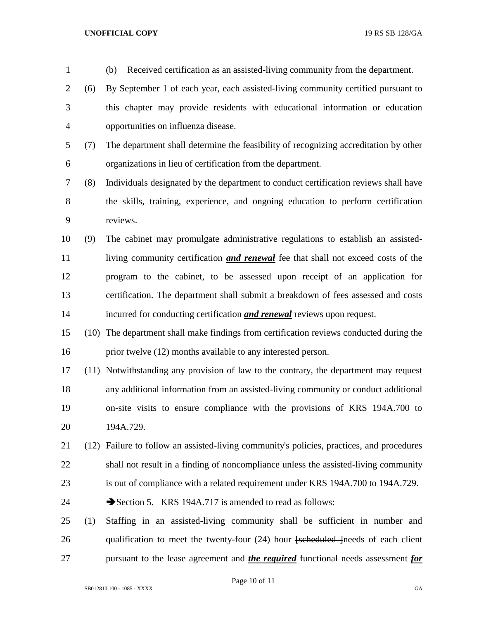| $\mathbf{1}$   |      | (b)<br>Received certification as an assisted-living community from the department.             |
|----------------|------|------------------------------------------------------------------------------------------------|
| 2              | (6)  | By September 1 of each year, each assisted-living community certified pursuant to              |
| 3              |      | this chapter may provide residents with educational information or education                   |
| $\overline{4}$ |      | opportunities on influenza disease.                                                            |
| 5              | (7)  | The department shall determine the feasibility of recognizing accreditation by other           |
| 6              |      | organizations in lieu of certification from the department.                                    |
| 7              | (8)  | Individuals designated by the department to conduct certification reviews shall have           |
| 8              |      | the skills, training, experience, and ongoing education to perform certification               |
| 9              |      | reviews.                                                                                       |
| 10             | (9)  | The cabinet may promulgate administrative regulations to establish an assisted-                |
| 11             |      | living community certification <i>and renewal</i> fee that shall not exceed costs of the       |
| 12             |      | program to the cabinet, to be assessed upon receipt of an application for                      |
| 13             |      | certification. The department shall submit a breakdown of fees assessed and costs              |
| 14             |      | incurred for conducting certification <i>and renewal</i> reviews upon request.                 |
| 15             | (10) | The department shall make findings from certification reviews conducted during the             |
| 16             |      | prior twelve (12) months available to any interested person.                                   |
| 17             |      | (11) Notwithstanding any provision of law to the contrary, the department may request          |
| 18             |      | any additional information from an assisted-living community or conduct additional             |
| 19             |      | on-site visits to ensure compliance with the provisions of KRS 194A.700 to                     |
| 20             |      | 194A.729.                                                                                      |
| 21             | (12) | Failure to follow an assisted-living community's policies, practices, and procedures           |
| 22             |      | shall not result in a finding of noncompliance unless the assisted-living community            |
| 23             |      | is out of compliance with a related requirement under KRS 194A.700 to 194A.729.                |
| 24             |      | Section 5. KRS 194A.717 is amended to read as follows:                                         |
| 25             | (1)  | Staffing in an assisted-living community shall be sufficient in number and                     |
| 26             |      | qualification to meet the twenty-four (24) hour [scheduled ] needs of each client              |
| 27             |      | pursuant to the lease agreement and <i>the required</i> functional needs assessment <i>for</i> |
|                |      |                                                                                                |

Page 10 of 11